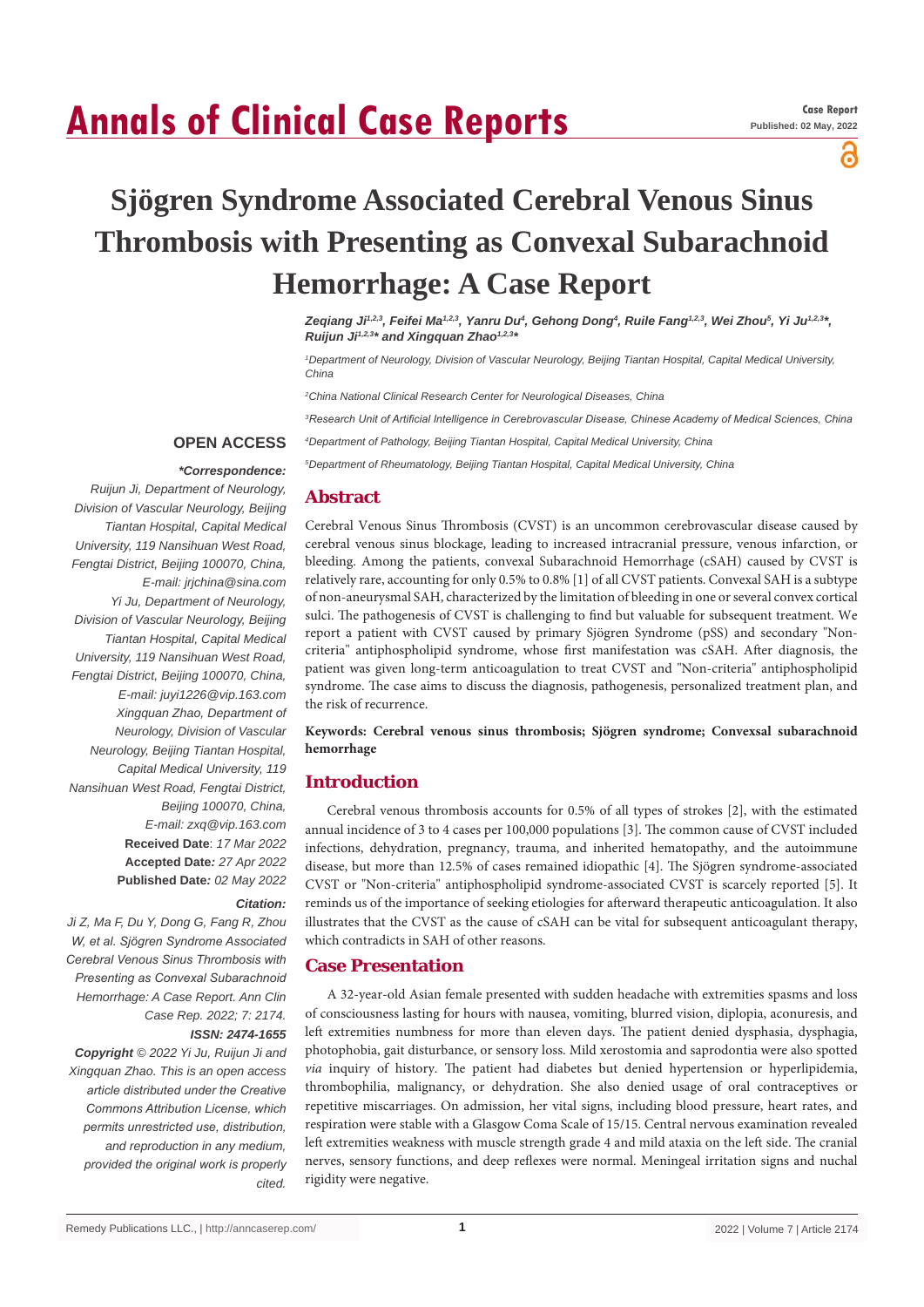# **Annals of Clinical Case Reports**

a

## **Sjögren Syndrome Associated Cerebral Venous Sinus Thrombosis with Presenting as Convexal Subarachnoid Hemorrhage: A Case Report**

Zeqiang Ji<sup>1,2,3</sup>, Feifei Ma<sup>1,2,3</sup>, Yanru Du<sup>4</sup>, Gehong Dong<sup>4</sup>, Ruile Fang<sup>1,2,3</sup>, Wei Zhou<sup>s</sup>, Yi Ju<sup>1,2,3</sup>\*, *Ruijun Ji1,2,3\* and Xingquan Zhao1,2,3\**

*1 Department of Neurology, Division of Vascular Neurology, Beijing Tiantan Hospital, Capital Medical University, China*

*2 China National Clinical Research Center for Neurological Diseases, China*

*3 Research Unit of Artificial Intelligence in Cerebrovascular Disease, Chinese Academy of Medical Sciences, China*

*4 Department of Pathology, Beijing Tiantan Hospital, Capital Medical University, China*

*5 Department of Rheumatology, Beijing Tiantan Hospital, Capital Medical University, China*

#### **Abstract** *Ruijun Ji, Department of Neurology, Division of Vascular Neurology, Beijing*

**OPEN ACCESS**  *\*Correspondence:*

*Tiantan Hospital, Capital Medical* 

Cerebral Venous Sinus Thrombosis (CVST) is an uncommon cerebrovascular disease caused by cerebral venous sinus blockage, leading to increased intracranial pressure, venous infarction, or bleeding. Among the patients, convexal Subarachnoid Hemorrhage (cSAH) caused by CVST is relatively rare, accounting for only 0.5% to 0.8% [1] of all CVST patients. Convexal SAH is a subtype of non-aneurysmal SAH, characterized by the limitation of bleeding in one or several convex cortical sulci. The pathogenesis of CVST is challenging to find but valuable for subsequent treatment. We report a patient with CVST caused by primary Sjögren Syndrome (pSS) and secondary "Noncriteria" antiphospholipid syndrome, whose first manifestation was cSAH. After diagnosis, the patient was given long-term anticoagulation to treat CVST and "Non-criteria" antiphospholipid syndrome. The case aims to discuss the diagnosis, pathogenesis, personalized treatment plan, and the risk of recurrence.

**Keywords: Cerebral venous sinus thrombosis; Sjögren syndrome; Convexsal subarachnoid hemorrhage**

#### **Introduction**

Cerebral venous thrombosis accounts for 0.5% of all types of strokes [2], with the estimated annual incidence of 3 to 4 cases per 100,000 populations [3]. The common cause of CVST included infections, dehydration, pregnancy, trauma, and inherited hematopathy, and the autoimmune disease, but more than 12.5% of cases remained idiopathic [4]. The Sjögren syndrome-associated CVST or "Non-criteria" antiphospholipid syndrome-associated CVST is scarcely reported [5]. It reminds us of the importance of seeking etiologies for afterward therapeutic anticoagulation. It also illustrates that the CVST as the cause of cSAH can be vital for subsequent anticoagulant therapy, which contradicts in SAH of other reasons.

#### **Case Presentation**

A 32-year-old Asian female presented with sudden headache with extremities spasms and loss of consciousness lasting for hours with nausea, vomiting, blurred vision, diplopia, aconuresis, and left extremities numbness for more than eleven days. The patient denied dysphasia, dysphagia, photophobia, gait disturbance, or sensory loss. Mild xerostomia and saprodontia were also spotted *via* inquiry of history. The patient had diabetes but denied hypertension or hyperlipidemia, thrombophilia, malignancy, or dehydration. She also denied usage of oral contraceptives or repetitive miscarriages. On admission, her vital signs, including blood pressure, heart rates, and respiration were stable with a Glasgow Coma Scale of 15/15. Central nervous examination revealed left extremities weakness with muscle strength grade 4 and mild ataxia on the left side. The cranial nerves, sensory functions, and deep reflexes were normal. Meningeal irritation signs and nuchal rigidity were negative.

#### *University, 119 Nansihuan West Road, Fengtai District, Beijing 100070, China, E-mail: jrjchina@sina.com Yi Ju, Department of Neurology, Division of Vascular Neurology, Beijing Tiantan Hospital, Capital Medical University, 119 Nansihuan West Road, Fengtai District, Beijing 100070, China, E-mail: juyi1226@vip.163.com Xingquan Zhao, Department of Neurology, Division of Vascular Neurology, Beijing Tiantan Hospital, Capital Medical University, 119 Nansihuan West Road, Fengtai District, Beijing 100070, China, E-mail: zxq@vip.163.com* **Received Date**: *17 Mar 2022* **Accepted Date***: 27 Apr 2022* **Published Date***: 02 May 2022 Citation:*

*Ji Z, Ma F, Du Y, Dong G, Fang R, Zhou W, et al. Sjögren Syndrome Associated Cerebral Venous Sinus Thrombosis with Presenting as Convexal Subarachnoid Hemorrhage: A Case Report. Ann Clin Case Rep. 2022; 7: 2174.*

*ISSN: 2474-1655*

*Copyright © 2022 Yi Ju, Ruijun Ji and Xingquan Zhao. This is an open access article distributed under the Creative Commons Attribution License, which permits unrestricted use, distribution, and reproduction in any medium, provided the original work is properly cited.*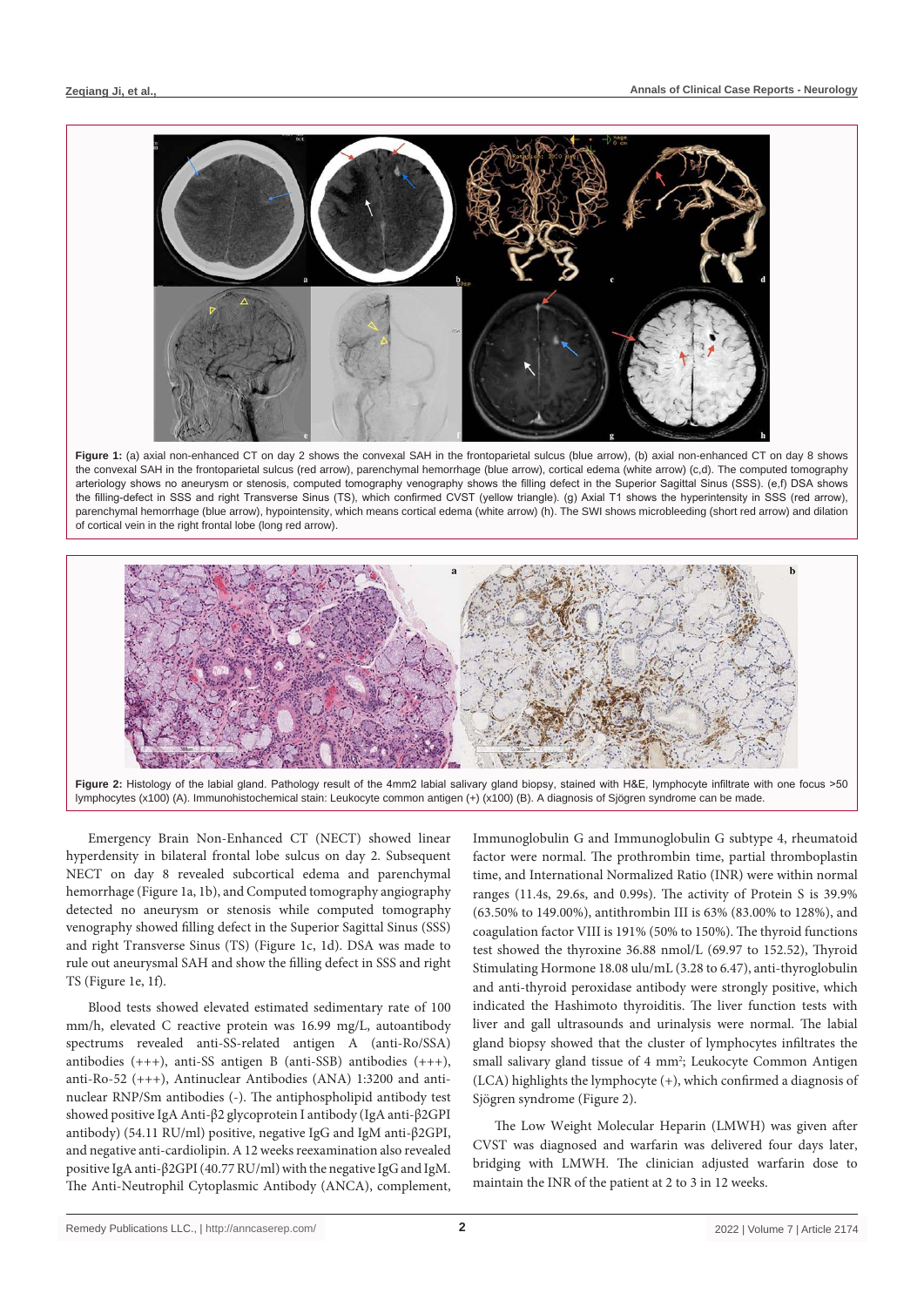

**Figure 1:** (a) axial non-enhanced CT on day 2 shows the convexal SAH in the frontoparietal sulcus (blue arrow), (b) axial non-enhanced CT on day 8 shows the convexal SAH in the frontoparietal sulcus (red arrow), parenchymal hemorrhage (blue arrow), cortical edema (white arrow) (c,d). The computed tomography arteriology shows no aneurysm or stenosis, computed tomography venography shows the filling defect in the Superior Sagittal Sinus (SSS). (e,f) DSA shows the filling-defect in SSS and right Transverse Sinus (TS), which confirmed CVST (yellow triangle). (g) Axial T1 shows the hyperintensity in SSS (red arrow), parenchymal hemorrhage (blue arrow), hypointensity, which means cortical edema (white arrow) (h). The SWI shows microbleeding (short red arrow) and dilation of cortical vein in the right frontal lobe (long red arrow).



**Figure 2:** Histology of the labial gland. Pathology result of the 4mm2 labial salivary gland biopsy, stained with H&E, lymphocyte infiltrate with one focus >50 lymphocytes (x100) (A). Immunohistochemical stain: Leukocyte common antigen (+) (x100) (B). A diagnosis of Sjögren syndrome can be made.

Emergency Brain Non-Enhanced CT (NECT) showed linear hyperdensity in bilateral frontal lobe sulcus on day 2. Subsequent NECT on day 8 revealed subcortical edema and parenchymal hemorrhage (Figure 1a, 1b), and Computed tomography angiography detected no aneurysm or stenosis while computed tomography venography showed filling defect in the Superior Sagittal Sinus (SSS) and right Transverse Sinus (TS) (Figure 1c, 1d). DSA was made to rule out aneurysmal SAH and show the filling defect in SSS and right TS (Figure 1e, 1f).

Blood tests showed elevated estimated sedimentary rate of 100 mm/h, elevated C reactive protein was 16.99 mg/L, autoantibody spectrums revealed anti-SS-related antigen A (anti-Ro/SSA) antibodies (+++), anti-SS antigen B (anti-SSB) antibodies (+++), anti-Ro-52 (+++), Antinuclear Antibodies (ANA) 1:3200 and antinuclear RNP/Sm antibodies (-). The antiphospholipid antibody test showed positive IgA Anti-β2 glycoprotein I antibody (IgA anti-β2GPI antibody) (54.11 RU/ml) positive, negative IgG and IgM anti-β2GPI, and negative anti-cardiolipin. A 12 weeks reexamination also revealed positive IgA anti-β2GPI (40.77 RU/ml) with the negative IgG and IgM. The Anti-Neutrophil Cytoplasmic Antibody (ANCA), complement,

Immunoglobulin G and Immunoglobulin G subtype 4, rheumatoid factor were normal. The prothrombin time, partial thromboplastin time, and International Normalized Ratio (INR) were within normal ranges (11.4s, 29.6s, and 0.99s). The activity of Protein S is 39.9% (63.50% to 149.00%), antithrombin III is 63% (83.00% to 128%), and coagulation factor VIII is 191% (50% to 150%). The thyroid functions test showed the thyroxine 36.88 nmol/L (69.97 to 152.52), Thyroid Stimulating Hormone 18.08 ulu/mL (3.28 to 6.47), anti-thyroglobulin and anti-thyroid peroxidase antibody were strongly positive, which indicated the Hashimoto thyroiditis. The liver function tests with liver and gall ultrasounds and urinalysis were normal. The labial gland biopsy showed that the cluster of lymphocytes infiltrates the small salivary gland tissue of 4 mm<sup>2</sup>; Leukocyte Common Antigen (LCA) highlights the lymphocyte (+), which confirmed a diagnosis of Sjögren syndrome (Figure 2).

The Low Weight Molecular Heparin (LMWH) was given after CVST was diagnosed and warfarin was delivered four days later, bridging with LMWH. The clinician adjusted warfarin dose to maintain the INR of the patient at 2 to 3 in 12 weeks.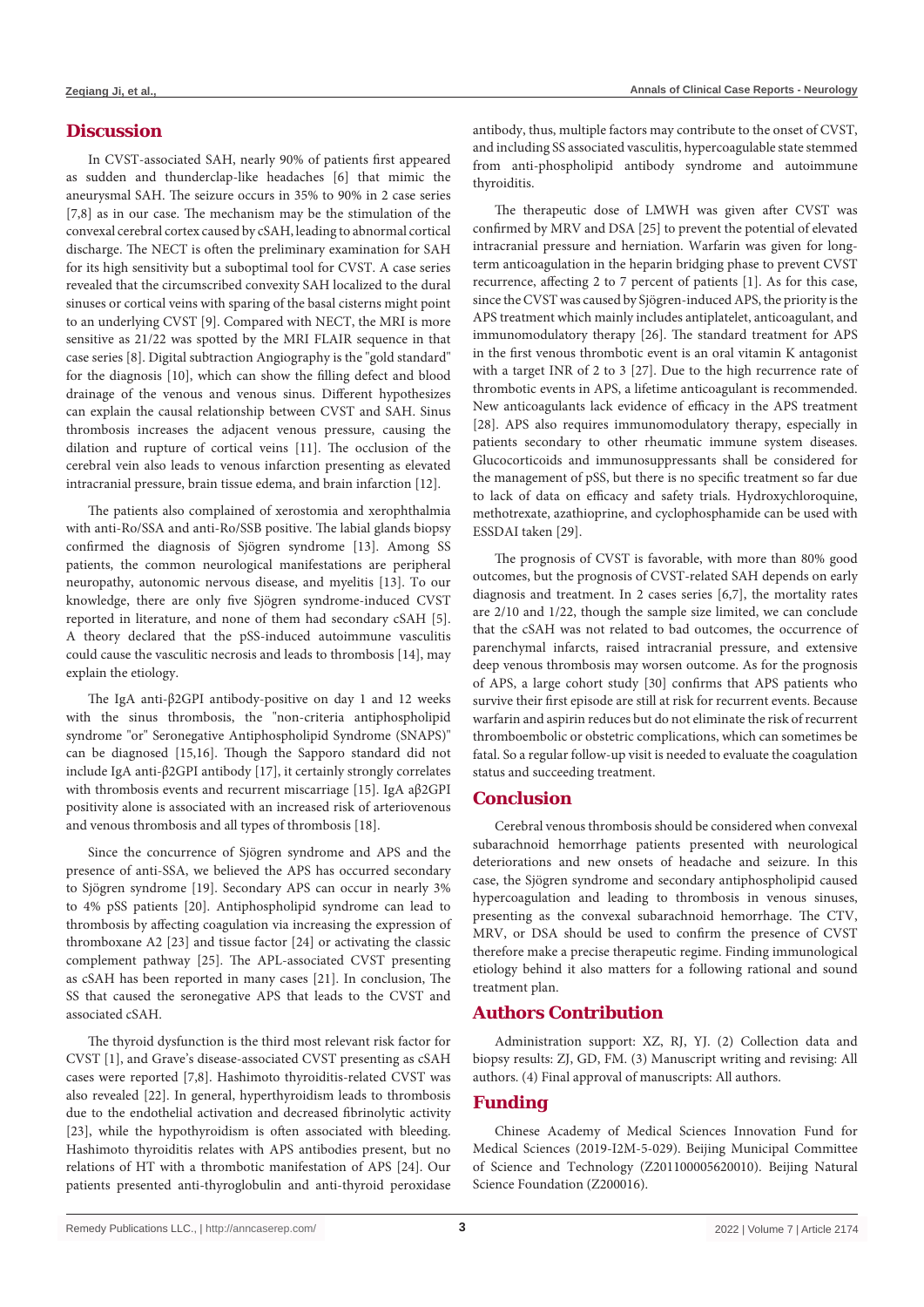#### **Discussion**

In CVST-associated SAH, nearly 90% of patients first appeared as sudden and thunderclap-like headaches [6] that mimic the aneurysmal SAH. The seizure occurs in 35% to 90% in 2 case series [7,8] as in our case. The mechanism may be the stimulation of the convexal cerebral cortex caused by cSAH, leading to abnormal cortical discharge. The NECT is often the preliminary examination for SAH for its high sensitivity but a suboptimal tool for CVST. A case series revealed that the circumscribed convexity SAH localized to the dural sinuses or cortical veins with sparing of the basal cisterns might point to an underlying CVST [9]. Compared with NECT, the MRI is more sensitive as 21/22 was spotted by the MRI FLAIR sequence in that case series [8]. Digital subtraction Angiography is the "gold standard" for the diagnosis [10], which can show the filling defect and blood drainage of the venous and venous sinus. Different hypothesizes can explain the causal relationship between CVST and SAH. Sinus thrombosis increases the adjacent venous pressure, causing the dilation and rupture of cortical veins [11]. The occlusion of the cerebral vein also leads to venous infarction presenting as elevated intracranial pressure, brain tissue edema, and brain infarction [12].

The patients also complained of xerostomia and xerophthalmia with anti-Ro/SSA and anti-Ro/SSB positive. The labial glands biopsy confirmed the diagnosis of Sjögren syndrome [13]. Among SS patients, the common neurological manifestations are peripheral neuropathy, autonomic nervous disease, and myelitis [13]. To our knowledge, there are only five Sjögren syndrome-induced CVST reported in literature, and none of them had secondary cSAH [5]. A theory declared that the pSS-induced autoimmune vasculitis could cause the vasculitic necrosis and leads to thrombosis [14], may explain the etiology.

The IgA anti-β2GPI antibody-positive on day 1 and 12 weeks with the sinus thrombosis, the "non-criteria antiphospholipid syndrome "or" Seronegative Antiphospholipid Syndrome (SNAPS)" can be diagnosed [15,16]. Though the Sapporo standard did not include IgA anti-β2GPI antibody [17], it certainly strongly correlates with thrombosis events and recurrent miscarriage [15]. IgA aβ2GPI positivity alone is associated with an increased risk of arteriovenous and venous thrombosis and all types of thrombosis [18].

Since the concurrence of Sjögren syndrome and APS and the presence of anti-SSA, we believed the APS has occurred secondary to Sjögren syndrome [19]. Secondary APS can occur in nearly 3% to 4% pSS patients [20]. Antiphospholipid syndrome can lead to thrombosis by affecting coagulation via increasing the expression of thromboxane A2 [23] and tissue factor [24] or activating the classic complement pathway [25]. The APL-associated CVST presenting as cSAH has been reported in many cases [21]. In conclusion, The SS that caused the seronegative APS that leads to the CVST and associated cSAH.

The thyroid dysfunction is the third most relevant risk factor for CVST [1], and Grave's disease-associated CVST presenting as cSAH cases were reported [7,8]. Hashimoto thyroiditis-related CVST was also revealed [22]. In general, hyperthyroidism leads to thrombosis due to the endothelial activation and decreased fibrinolytic activity [23], while the hypothyroidism is often associated with bleeding. Hashimoto thyroiditis relates with APS antibodies present, but no relations of HT with a thrombotic manifestation of APS [24]. Our patients presented anti-thyroglobulin and anti-thyroid peroxidase antibody, thus, multiple factors may contribute to the onset of CVST, and including SS associated vasculitis, hypercoagulable state stemmed from anti-phospholipid antibody syndrome and autoimmune thyroiditis.

The therapeutic dose of LMWH was given after CVST was confirmed by MRV and DSA [25] to prevent the potential of elevated intracranial pressure and herniation. Warfarin was given for longterm anticoagulation in the heparin bridging phase to prevent CVST recurrence, affecting 2 to 7 percent of patients [1]. As for this case, since the CVST was caused by Sjögren-induced APS, the priority is the APS treatment which mainly includes antiplatelet, anticoagulant, and immunomodulatory therapy [26]. The standard treatment for APS in the first venous thrombotic event is an oral vitamin K antagonist with a target INR of 2 to 3 [27]. Due to the high recurrence rate of thrombotic events in APS, a lifetime anticoagulant is recommended. New anticoagulants lack evidence of efficacy in the APS treatment [28]. APS also requires immunomodulatory therapy, especially in patients secondary to other rheumatic immune system diseases. Glucocorticoids and immunosuppressants shall be considered for the management of pSS, but there is no specific treatment so far due to lack of data on efficacy and safety trials. Hydroxychloroquine, methotrexate, azathioprine, and cyclophosphamide can be used with ESSDAI taken [29].

The prognosis of CVST is favorable, with more than 80% good outcomes, but the prognosis of CVST-related SAH depends on early diagnosis and treatment. In 2 cases series [6,7], the mortality rates are 2/10 and 1/22, though the sample size limited, we can conclude that the cSAH was not related to bad outcomes, the occurrence of parenchymal infarcts, raised intracranial pressure, and extensive deep venous thrombosis may worsen outcome. As for the prognosis of APS, a large cohort study [30] confirms that APS patients who survive their first episode are still at risk for recurrent events. Because warfarin and aspirin reduces but do not eliminate the risk of recurrent thromboembolic or obstetric complications, which can sometimes be fatal. So a regular follow-up visit is needed to evaluate the coagulation status and succeeding treatment.

#### **Conclusion**

Cerebral venous thrombosis should be considered when convexal subarachnoid hemorrhage patients presented with neurological deteriorations and new onsets of headache and seizure. In this case, the Sjögren syndrome and secondary antiphospholipid caused hypercoagulation and leading to thrombosis in venous sinuses, presenting as the convexal subarachnoid hemorrhage. The CTV, MRV, or DSA should be used to confirm the presence of CVST therefore make a precise therapeutic regime. Finding immunological etiology behind it also matters for a following rational and sound treatment plan.

### **Authors Contribution**

Administration support: XZ, RJ, YJ. (2) Collection data and biopsy results: ZJ, GD, FM. (3) Manuscript writing and revising: All authors. (4) Final approval of manuscripts: All authors.

### **Funding**

Chinese Academy of Medical Sciences Innovation Fund for Medical Sciences (2019-I2M-5-029). Beijing Municipal Committee of Science and Technology (Z201100005620010). Beijing Natural Science Foundation (Z200016).